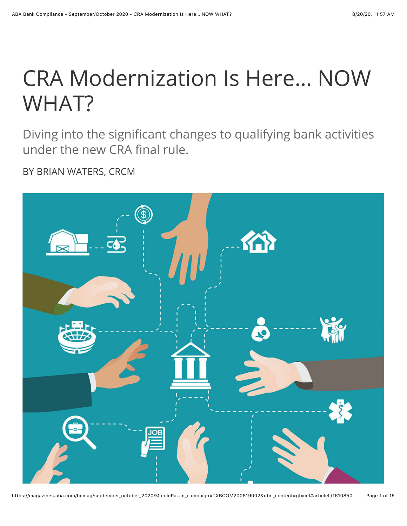# CRA Modernization Is Here… NOW WHAT?

Diving into the significant changes to qualifying bank activities under the new CRA final rule.

BY BRIAN WATERS, CRCM

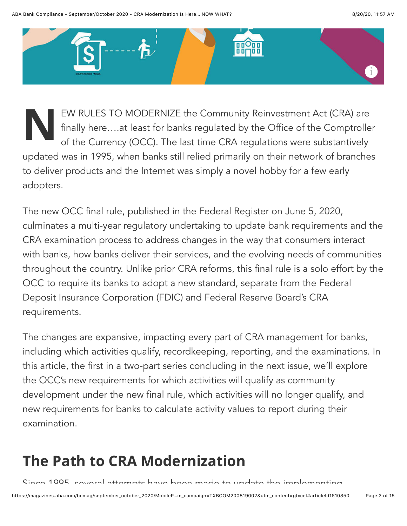

**NOVICES TO MODERNIZE** the Community Reinvestment Act (CRA) are finally here....at least for banks regulated by the Office of the Comptrolle of the Currency (OCC). The last time CRA regulations were substantively finally here….at least for banks regulated by the Office of the Comptroller updated was in 1995, when banks still relied primarily on their network of branches to deliver products and the Internet was simply a novel hobby for a few early adopters.

The new OCC final rule, published in the Federal Register on June 5, 2020, culminates a multi-year regulatory undertaking to update bank requirements and the CRA examination process to address changes in the way that consumers interact with banks, how banks deliver their services, and the evolving needs of communities throughout the country. Unlike prior CRA reforms, this final rule is a solo effort by the OCC to require its banks to adopt a new standard, separate from the Federal Deposit Insurance Corporation (FDIC) and Federal Reserve Board's CRA requirements.

The changes are expansive, impacting every part of CRA management for banks, including which activities qualify, recordkeeping, reporting, and the examinations. In this article, the first in a two-part series concluding in the next issue, we'll explore the OCC's new requirements for which activities will qualify as community development under the new final rule, which activities will no longer qualify, and new requirements for banks to calculate activity values to report during their examination.

### **The Path to CRA Modernization**

Since 1995, several attempts have been made to update the implementing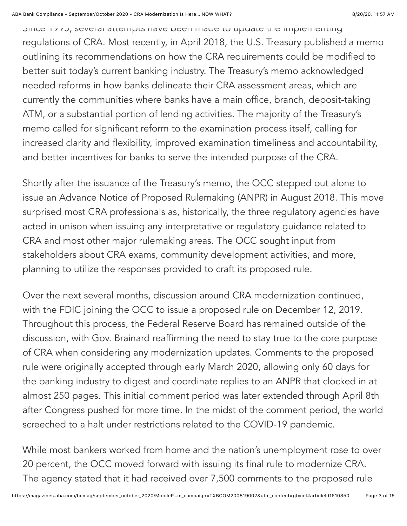Since 1995, several attempts have been made to update the implementing regulations of CRA. Most recently, in April 2018, the U.S. Treasury published a memo outlining its recommendations on how the CRA requirements could be modified to better suit today's current banking industry. The Treasury's memo acknowledged needed reforms in how banks delineate their CRA assessment areas, which are currently the communities where banks have a main office, branch, deposit-taking ATM, or a substantial portion of lending activities. The majority of the Treasury's memo called for significant reform to the examination process itself, calling for increased clarity and flexibility, improved examination timeliness and accountability, and better incentives for banks to serve the intended purpose of the CRA.

Shortly after the issuance of the Treasury's memo, the OCC stepped out alone to issue an Advance Notice of Proposed Rulemaking (ANPR) in August 2018. This move surprised most CRA professionals as, historically, the three regulatory agencies have acted in unison when issuing any interpretative or regulatory guidance related to CRA and most other major rulemaking areas. The OCC sought input from stakeholders about CRA exams, community development activities, and more, planning to utilize the responses provided to craft its proposed rule.

Over the next several months, discussion around CRA modernization continued, with the FDIC joining the OCC to issue a proposed rule on December 12, 2019. Throughout this process, the Federal Reserve Board has remained outside of the discussion, with Gov. Brainard reaffirming the need to stay true to the core purpose of CRA when considering any modernization updates. Comments to the proposed rule were originally accepted through early March 2020, allowing only 60 days for the banking industry to digest and coordinate replies to an ANPR that clocked in at almost 250 pages. This initial comment period was later extended through April 8th after Congress pushed for more time. In the midst of the comment period, the world screeched to a halt under restrictions related to the COVID-19 pandemic.

While most bankers worked from home and the nation's unemployment rose to over 20 percent, the OCC moved forward with issuing its final rule to modernize CRA. The agency stated that it had received over 7,500 comments to the proposed rule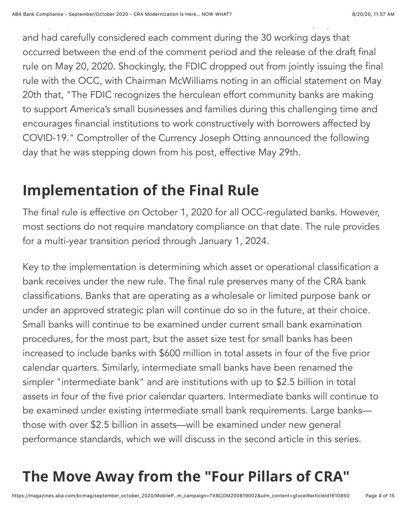and had carefully considered each comment during the 30 working days that occurred between the end of the comment period and the release of the draft final rule on May 20, 2020. Shockingly, the FDIC dropped out from jointly issuing the final rule with the OCC, with Chairman McWilliams noting in an official statement on May 20th that, "The FDIC recognizes the herculean effort community banks are making to support America's small businesses and families during this challenging time and encourages financial institutions to work constructively with borrowers affected by COVID-19." Comptroller of the Currency Joseph Otting announced the following day that he was stepping down from his post, effective May 29th.

The agency stated that it had received over  $7,500$  comments to the proposed rule  $\alpha$ 

#### **Implementation of the Final Rule**

The final rule is effective on October 1, 2020 for all OCC-regulated banks. However, most sections do not require mandatory compliance on that date. The rule provides for a multi-year transition period through January 1, 2024.

Key to the implementation is determining which asset or operational classification a bank receives under the new rule. The final rule preserves many of the CRA bank classifications. Banks that are operating as a wholesale or limited purpose bank or under an approved strategic plan will continue do so in the future, at their choice. Small banks will continue to be examined under current small bank examination procedures, for the most part, but the asset size test for small banks has been increased to include banks with \$600 million in total assets in four of the five prior calendar quarters. Similarly, intermediate small banks have been renamed the simpler "intermediate bank" and are institutions with up to \$2.5 billion in total assets in four of the five prior calendar quarters. Intermediate banks will continue to be examined under existing intermediate small bank requirements. Large banks those with over \$2.5 billion in assets—will be examined under new general performance standards, which we will discuss in the second article in this series.

## **The Move Away from the "Four Pillars of CRA"**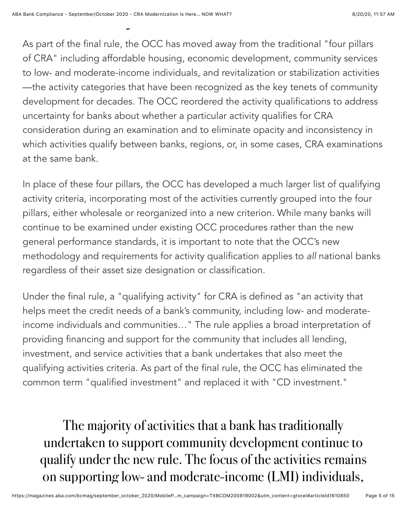As part of the final rule, the OCC has moved away from the traditional "four pillars of CRA" including affordable housing, economic development, community services to low- and moderate-income individuals, and revitalization or stabilization activities —the activity categories that have been recognized as the key tenets of community development for decades. The OCC reordered the activity qualifications to address uncertainty for banks about whether a particular activity qualifies for CRA consideration during an examination and to eliminate opacity and inconsistency in which activities qualify between banks, regions, or, in some cases, CRA examinations at the same bank.

In place of these four pillars, the OCC has developed a much larger list of qualifying activity criteria, incorporating most of the activities currently grouped into the four pillars, either wholesale or reorganized into a new criterion. While many banks will continue to be examined under existing OCC procedures rather than the new general performance standards, it is important to note that the OCC's new methodology and requirements for activity qualification applies to *all* national banks regardless of their asset size designation or classification.

Under the final rule, a "qualifying activity" for CRA is defined as "an activity that helps meet the credit needs of a bank's community, including low- and moderateincome individuals and communities…" The rule applies a broad interpretation of providing financing and support for the community that includes all lending, investment, and service activities that a bank undertakes that also meet the qualifying activities criteria. As part of the final rule, the OCC has eliminated the common term "qualified investment" and replaced it with "CD investment."

The majority of activities that a bank has traditionally undertaken to support community development continue to qualify under the new rule. The focus of the activities remains on supporting low- and moderate-income (LMI) individuals,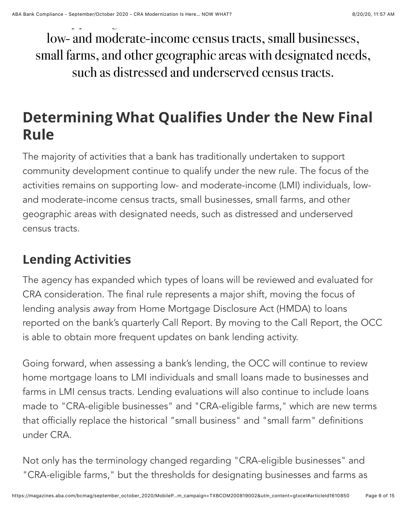low- and moderate-income census tracts, small businesses, small farms, and other geographic areas with designated needs, such as distressed and underserved census tracts.

#### **Determining What Qualifies Under the New Final Rule**

The majority of activities that a bank has traditionally undertaken to support community development continue to qualify under the new rule. The focus of the activities remains on supporting low- and moderate-income (LMI) individuals, lowand moderate-income census tracts, small businesses, small farms, and other geographic areas with designated needs, such as distressed and underserved census tracts.

#### **Lending Activities**

The agency has expanded which types of loans will be reviewed and evaluated for CRA consideration. The final rule represents a major shift, moving the focus of lending analysis *away* from Home Mortgage Disclosure Act (HMDA) to loans reported on the bank's quarterly Call Report. By moving to the Call Report, the OCC is able to obtain more frequent updates on bank lending activity.

Going forward, when assessing a bank's lending, the OCC will continue to review home mortgage loans to LMI individuals and small loans made to businesses and farms in LMI census tracts. Lending evaluations will also continue to include loans made to "CRA-eligible businesses" and "CRA-eligible farms," which are new terms that officially replace the historical "small business" and "small farm" definitions under CRA.

Not only has the terminology changed regarding "CRA-eligible businesses" and "CRA-eligible farms," but the thresholds for designating businesses and farms as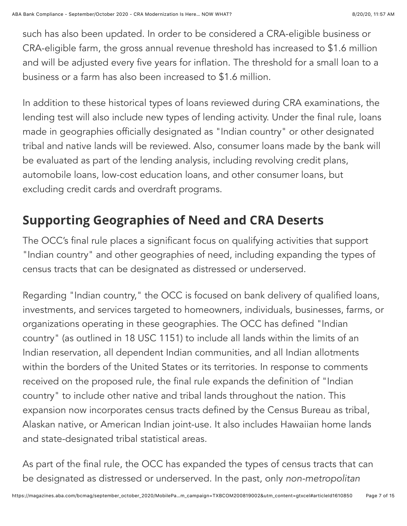such has also been updated. In order to be considered a CRA-eligible business or CRA-eligible farm, the gross annual revenue threshold has increased to \$1.6 million and will be adjusted every five years for inflation. The threshold for a small loan to a business or a farm has also been increased to \$1.6 million.

In addition to these historical types of loans reviewed during CRA examinations, the lending test will also include new types of lending activity. Under the final rule, loans made in geographies officially designated as "Indian country" or other designated tribal and native lands will be reviewed. Also, consumer loans made by the bank will be evaluated as part of the lending analysis, including revolving credit plans, automobile loans, low-cost education loans, and other consumer loans, but excluding credit cards and overdraft programs.

#### **Supporting Geographies of Need and CRA Deserts**

The OCC's final rule places a significant focus on qualifying activities that support "Indian country" and other geographies of need, including expanding the types of census tracts that can be designated as distressed or underserved.

Regarding "Indian country," the OCC is focused on bank delivery of qualified loans, investments, and services targeted to homeowners, individuals, businesses, farms, or organizations operating in these geographies. The OCC has defined "Indian country" (as outlined in 18 USC 1151) to include all lands within the limits of an Indian reservation, all dependent Indian communities, and all Indian allotments within the borders of the United States or its territories. In response to comments received on the proposed rule, the final rule expands the definition of "Indian country" to include other native and tribal lands throughout the nation. This expansion now incorporates census tracts defined by the Census Bureau as tribal, Alaskan native, or American Indian joint-use. It also includes Hawaiian home lands and state-designated tribal statistical areas.

As part of the final rule, the OCC has expanded the types of census tracts that can be designated as distressed or underserved. In the past, only *non-metropolitan*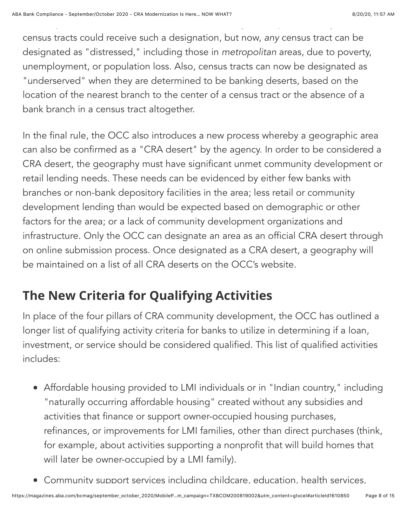census tracts could receive such a designation, but now, *any* census tract can be designated as "distressed," including those in *metropolitan* areas, due to poverty, unemployment, or population loss. Also, census tracts can now be designated as "underserved" when they are determined to be banking deserts, based on the location of the nearest branch to the center of a census tract or the absence of a bank branch in a census tract altogether.

be designated as distressed or underserved. In the past, only *non-metropolitan*

In the final rule, the OCC also introduces a new process whereby a geographic area can also be confirmed as a "CRA desert" by the agency. In order to be considered a CRA desert, the geography must have significant unmet community development or retail lending needs. These needs can be evidenced by either few banks with branches or non-bank depository facilities in the area; less retail or community development lending than would be expected based on demographic or other factors for the area; or a lack of community development organizations and infrastructure. Only the OCC can designate an area as an official CRA desert through on online submission process. Once designated as a CRA desert, a geography will be maintained on a list of all CRA deserts on the OCC's website.

#### **The New Criteria for Qualifying Activities**

In place of the four pillars of CRA community development, the OCC has outlined a longer list of qualifying activity criteria for banks to utilize in determining if a loan, investment, or service should be considered qualified. This list of qualified activities includes:

- Affordable housing provided to LMI individuals or in "Indian country," including "naturally occurring affordable housing" created without any subsidies and activities that finance or support owner-occupied housing purchases, refinances, or improvements for LMI families, other than direct purchases (think, for example, about activities supporting a nonprofit that will build homes that will later be owner-occupied by a LMI family).
- Community support services including childcare, education, health services,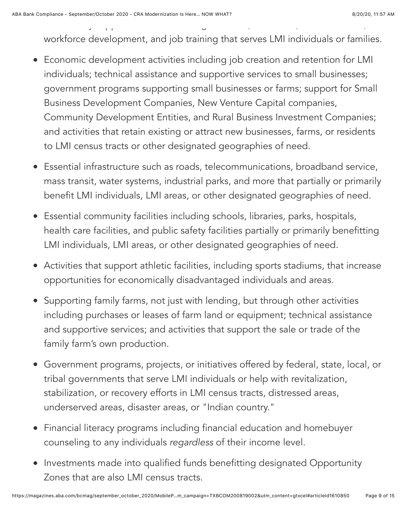workforce development, and job training that serves LMI individuals or families.

Community support services including childcare, education, health services,

- Economic development activities including job creation and retention for LMI individuals; technical assistance and supportive services to small businesses; government programs supporting small businesses or farms; support for Small Business Development Companies, New Venture Capital companies, Community Development Entities, and Rural Business Investment Companies; and activities that retain existing or attract new businesses, farms, or residents to LMI census tracts or other designated geographies of need.
- Essential infrastructure such as roads, telecommunications, broadband service, mass transit, water systems, industrial parks, and more that partially or primarily benefit LMI individuals, LMI areas, or other designated geographies of need.
- Essential community facilities including schools, libraries, parks, hospitals, health care facilities, and public safety facilities partially or primarily benefitting LMI individuals, LMI areas, or other designated geographies of need.
- Activities that support athletic facilities, including sports stadiums, that increase opportunities for economically disadvantaged individuals and areas.
- Supporting family farms, not just with lending, but through other activities including purchases or leases of farm land or equipment; technical assistance and supportive services; and activities that support the sale or trade of the family farm's own production.
- Government programs, projects, or initiatives offered by federal, state, local, or tribal governments that serve LMI individuals or help with revitalization, stabilization, or recovery efforts in LMI census tracts, distressed areas, underserved areas, disaster areas, or "Indian country."
- Financial literacy programs including financial education and homebuyer counseling to any individuals *regardless* of their income level.
- Investments made into qualified funds benefitting designated Opportunity Zones that are also LMI census tracts.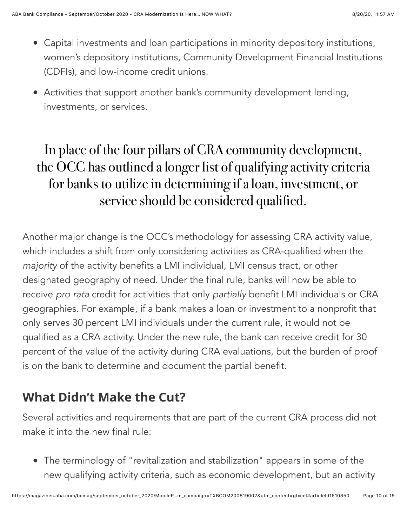- Capital investments and loan participations in minority depository institutions, women's depository institutions, Community Development Financial Institutions (CDFIs), and low-income credit unions.
- Activities that support another bank's community development lending, investments, or services.

#### In place of the four pillars of CRA community development, the OCC has outlined a longer list of qualifying activity criteria for banks to utilize in determining if a loan, investment, or service should be considered qualified.

Another major change is the OCC's methodology for assessing CRA activity value, which includes a shift from only considering activities as CRA-qualified when the *majority* of the activity benefits a LMI individual, LMI census tract, or other designated geography of need. Under the final rule, banks will now be able to receive *pro rata* credit for activities that only *partially* benefit LMI individuals or CRA geographies. For example, if a bank makes a loan or investment to a nonprofit that only serves 30 percent LMI individuals under the current rule, it would not be qualified as a CRA activity. Under the new rule, the bank can receive credit for 30 percent of the value of the activity during CRA evaluations, but the burden of proof is on the bank to determine and document the partial benefit.

#### **What Didn't Make the Cut?**

Several activities and requirements that are part of the current CRA process did not make it into the new final rule:

The terminology of "revitalization and stabilization" appears in some of the new qualifying activity criteria, such as economic development, but an activity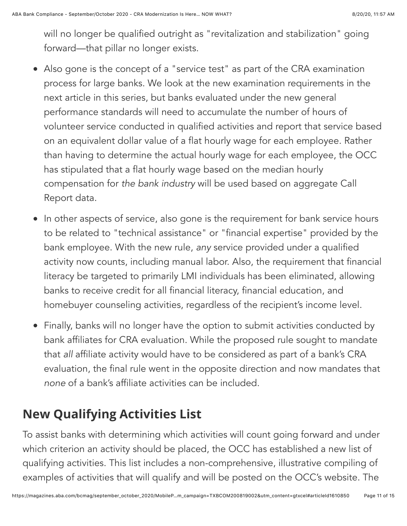will no longer be qualified outright as "revitalization and stabilization" going forward—that pillar no longer exists.

- Also gone is the concept of a "service test" as part of the CRA examination process for large banks. We look at the new examination requirements in the next article in this series, but banks evaluated under the new general performance standards will need to accumulate the number of hours of volunteer service conducted in qualified activities and report that service based on an equivalent dollar value of a flat hourly wage for each employee. Rather than having to determine the actual hourly wage for each employee, the OCC has stipulated that a flat hourly wage based on the median hourly compensation for *the bank industry* will be used based on aggregate Call Report data.
- In other aspects of service, also gone is the requirement for bank service hours to be related to "technical assistance" or "financial expertise" provided by the bank employee. With the new rule, *any* service provided under a qualified activity now counts, including manual labor. Also, the requirement that financial literacy be targeted to primarily LMI individuals has been eliminated, allowing banks to receive credit for all financial literacy, financial education, and homebuyer counseling activities, regardless of the recipient's income level.
- Finally, banks will no longer have the option to submit activities conducted by bank affiliates for CRA evaluation. While the proposed rule sought to mandate that *all* affiliate activity would have to be considered as part of a bank's CRA evaluation, the final rule went in the opposite direction and now mandates that *none* of a bank's affiliate activities can be included.

#### **New Qualifying Activities List**

To assist banks with determining which activities will count going forward and under which criterion an activity should be placed, the OCC has established a new list of qualifying activities. This list includes a non-comprehensive, illustrative compiling of examples of activities that will qualify and will be posted on the OCC's website. The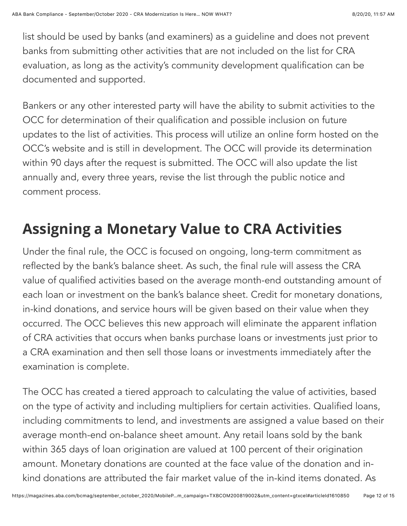list should be used by banks (and examiners) as a guideline and does not prevent banks from submitting other activities that are not included on the list for CRA evaluation, as long as the activity's community development qualification can be documented and supported.

Bankers or any other interested party will have the ability to submit activities to the OCC for determination of their qualification and possible inclusion on future updates to the list of activities. This process will utilize an online form hosted on the OCC's website and is still in development. The OCC will provide its determination within 90 days after the request is submitted. The OCC will also update the list annually and, every three years, revise the list through the public notice and comment process.

#### **Assigning a Monetary Value to CRA Activities**

Under the final rule, the OCC is focused on ongoing, long-term commitment as reflected by the bank's balance sheet. As such, the final rule will assess the CRA value of qualified activities based on the average month-end outstanding amount of each loan or investment on the bank's balance sheet. Credit for monetary donations, in-kind donations, and service hours will be given based on their value when they occurred. The OCC believes this new approach will eliminate the apparent inflation of CRA activities that occurs when banks purchase loans or investments just prior to a CRA examination and then sell those loans or investments immediately after the examination is complete.

The OCC has created a tiered approach to calculating the value of activities, based on the type of activity and including multipliers for certain activities. Qualified loans, including commitments to lend, and investments are assigned a value based on their average month-end on-balance sheet amount. Any retail loans sold by the bank within 365 days of loan origination are valued at 100 percent of their origination amount. Monetary donations are counted at the face value of the donation and inkind donations are attributed the fair market value of the in-kind items donated. As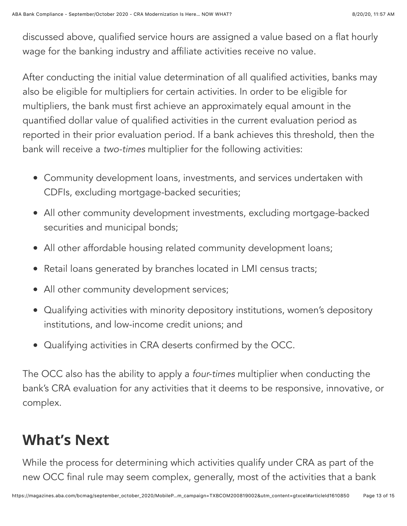discussed above, qualified service hours are assigned a value based on a flat hourly wage for the banking industry and affiliate activities receive no value.

After conducting the initial value determination of all qualified activities, banks may also be eligible for multipliers for certain activities. In order to be eligible for multipliers, the bank must first achieve an approximately equal amount in the quantified dollar value of qualified activities in the current evaluation period as reported in their prior evaluation period. If a bank achieves this threshold, then the bank will receive a *two-times* multiplier for the following activities:

- Community development loans, investments, and services undertaken with CDFIs, excluding mortgage-backed securities;
- All other community development investments, excluding mortgage-backed securities and municipal bonds;
- All other affordable housing related community development loans;
- Retail loans generated by branches located in LMI census tracts;
- All other community development services;
- Qualifying activities with minority depository institutions, women's depository institutions, and low-income credit unions; and
- Qualifying activities in CRA deserts confirmed by the OCC.

The OCC also has the ability to apply a *four-times* multiplier when conducting the bank's CRA evaluation for any activities that it deems to be responsive, innovative, or complex.

#### **What's Next**

While the process for determining which activities qualify under CRA as part of the new OCC final rule may seem complex, generally, most of the activities that a bank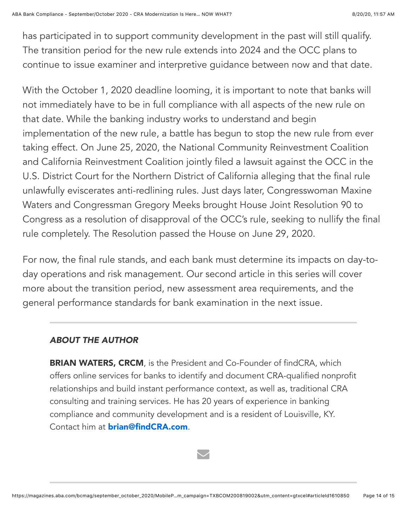has participated in to support community development in the past will still qualify. The transition period for the new rule extends into 2024 and the OCC plans to continue to issue examiner and interpretive guidance between now and that date.

With the October 1, 2020 deadline looming, it is important to note that banks will not immediately have to be in full compliance with all aspects of the new rule on that date. While the banking industry works to understand and begin implementation of the new rule, a battle has begun to stop the new rule from ever taking effect. On June 25, 2020, the National Community Reinvestment Coalition and California Reinvestment Coalition jointly filed a lawsuit against the OCC in the U.S. District Court for the Northern District of California alleging that the final rule unlawfully eviscerates anti-redlining rules. Just days later, Congresswoman Maxine Waters and Congressman Gregory Meeks brought House Joint Resolution 90 to Congress as a resolution of disapproval of the OCC's rule, seeking to nullify the final rule completely. The Resolution passed the House on June 29, 2020.

For now, the final rule stands, and each bank must determine its impacts on day-today operations and risk management. Our second article in this series will cover more about the transition period, new assessment area requirements, and the general performance standards for bank examination in the next issue.

#### *ABOUT THE AUTHOR*

**BRIAN WATERS, CRCM**, is the President and Co-Founder of findCRA, which offers online services for banks to identify and document CRA-qualified nonprofit relationships and build instant performance context, as well as, traditional CRA consulting and training services. He has 20 years of experience in banking compliance and community development and is a resident of Louisville, KY. Contact him at [brian@findCRA.com](mailto:brian@findCRA.com).